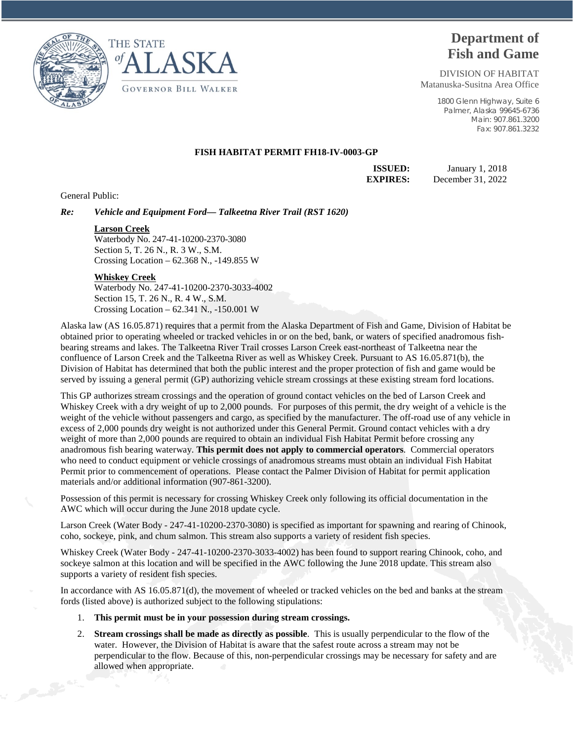



# **Department of Fish and Game**

DIVISION OF HABITAT Matanuska-Susitna Area Office

> 1800 Glenn Highway, Suite 6 Palmer, Alaska 99645-6736 Main: 907.861.3200 Fax: 907.861.3232

## **FISH HABITAT PERMIT FH18-IV-0003-GP**

**ISSUED:** January 1, 2018 **EXPIRES:** December 31, 2022

General Public:

*Re: Vehicle and Equipment Ford— Talkeetna River Trail (RST 1620)*

#### **Larson Creek**

Waterbody No. 247-41-10200-2370-3080 Section 5, T. 26 N., R. 3 W., S.M. Crossing Location – 62.368 N., -149.855 W

### **Whiskey Creek**

Waterbody No. 247-41-10200-2370-3033-4002 Section 15, T. 26 N., R. 4 W., S.M. Crossing Location – 62.341 N., -150.001 W

Alaska law (AS 16.05.871) requires that a permit from the Alaska Department of Fish and Game, Division of Habitat be obtained prior to operating wheeled or tracked vehicles in or on the bed, bank, or waters of specified anadromous fishbearing streams and lakes. The Talkeetna River Trail crosses Larson Creek east-northeast of Talkeetna near the confluence of Larson Creek and the Talkeetna River as well as Whiskey Creek. Pursuant to AS 16.05.871(b), the Division of Habitat has determined that both the public interest and the proper protection of fish and game would be served by issuing a general permit (GP) authorizing vehicle stream crossings at these existing stream ford locations.

This GP authorizes stream crossings and the operation of ground contact vehicles on the bed of Larson Creek and Whiskey Creek with a dry weight of up to 2,000 pounds. For purposes of this permit, the dry weight of a vehicle is the weight of the vehicle without passengers and cargo, as specified by the manufacturer. The off-road use of any vehicle in excess of 2,000 pounds dry weight is not authorized under this General Permit. Ground contact vehicles with a dry weight of more than 2,000 pounds are required to obtain an individual Fish Habitat Permit before crossing any anadromous fish bearing waterway. **This permit does not apply to commercial operators**. Commercial operators who need to conduct equipment or vehicle crossings of anadromous streams must obtain an individual Fish Habitat Permit prior to commencement of operations. Please contact the Palmer Division of Habitat for permit application materials and/or additional information (907-861-3200).

Possession of this permit is necessary for crossing Whiskey Creek only following its official documentation in the AWC which will occur during the June 2018 update cycle.

Larson Creek (Water Body - 247-41-10200-2370-3080) is specified as important for spawning and rearing of Chinook, coho, sockeye, pink, and chum salmon. This stream also supports a variety of resident fish species.

Whiskey Creek (Water Body - 247-41-10200-2370-3033-4002) has been found to support rearing Chinook, coho, and sockeye salmon at this location and will be specified in the AWC following the June 2018 update. This stream also supports a variety of resident fish species.

In accordance with AS 16.05.871(d), the movement of wheeled or tracked vehicles on the bed and banks at the stream fords (listed above) is authorized subject to the following stipulations:

- 1. **This permit must be in your possession during stream crossings.**
- 2. **Stream crossings shall be made as directly as possible**. This is usually perpendicular to the flow of the water. However, the Division of Habitat is aware that the safest route across a stream may not be perpendicular to the flow. Because of this, non-perpendicular crossings may be necessary for safety and are allowed when appropriate.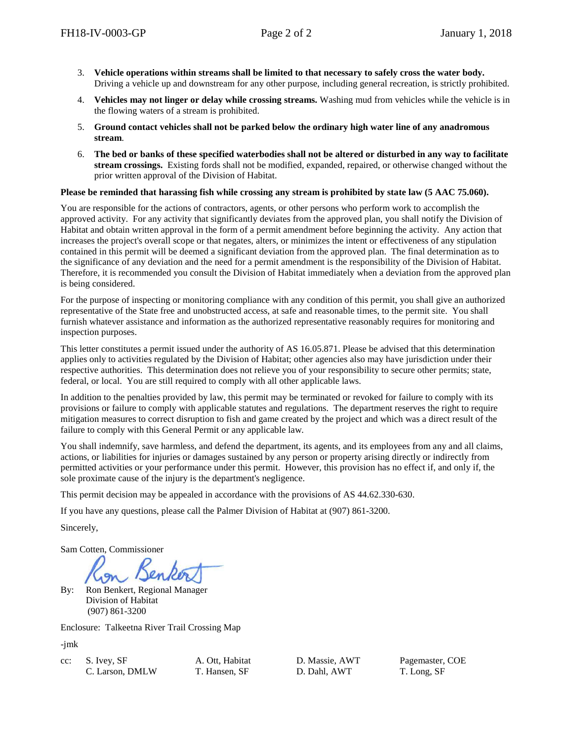- 3. **Vehicle operations within streams shall be limited to that necessary to safely cross the water body.** Driving a vehicle up and downstream for any other purpose, including general recreation, is strictly prohibited.
- 4. **Vehicles may not linger or delay while crossing streams.** Washing mud from vehicles while the vehicle is in the flowing waters of a stream is prohibited.
- 5. **Ground contact vehicles shall not be parked below the ordinary high water line of any anadromous stream**.
- 6. **The bed or banks of these specified waterbodies shall not be altered or disturbed in any way to facilitate stream crossings.** Existing fords shall not be modified, expanded, repaired, or otherwise changed without the prior written approval of the Division of Habitat.

## **Please be reminded that harassing fish while crossing any stream is prohibited by state law (5 AAC 75.060).**

You are responsible for the actions of contractors, agents, or other persons who perform work to accomplish the approved activity. For any activity that significantly deviates from the approved plan, you shall notify the Division of Habitat and obtain written approval in the form of a permit amendment before beginning the activity. Any action that increases the project's overall scope or that negates, alters, or minimizes the intent or effectiveness of any stipulation contained in this permit will be deemed a significant deviation from the approved plan. The final determination as to the significance of any deviation and the need for a permit amendment is the responsibility of the Division of Habitat. Therefore, it is recommended you consult the Division of Habitat immediately when a deviation from the approved plan is being considered.

For the purpose of inspecting or monitoring compliance with any condition of this permit, you shall give an authorized representative of the State free and unobstructed access, at safe and reasonable times, to the permit site. You shall furnish whatever assistance and information as the authorized representative reasonably requires for monitoring and inspection purposes.

This letter constitutes a permit issued under the authority of AS 16.05.871. Please be advised that this determination applies only to activities regulated by the Division of Habitat; other agencies also may have jurisdiction under their respective authorities. This determination does not relieve you of your responsibility to secure other permits; state, federal, or local. You are still required to comply with all other applicable laws.

In addition to the penalties provided by law, this permit may be terminated or revoked for failure to comply with its provisions or failure to comply with applicable statutes and regulations. The department reserves the right to require mitigation measures to correct disruption to fish and game created by the project and which was a direct result of the failure to comply with this General Permit or any applicable law.

You shall indemnify, save harmless, and defend the department, its agents, and its employees from any and all claims, actions, or liabilities for injuries or damages sustained by any person or property arising directly or indirectly from permitted activities or your performance under this permit. However, this provision has no effect if, and only if, the sole proximate cause of the injury is the department's negligence.

This permit decision may be appealed in accordance with the provisions of AS 44.62.330-630.

If you have any questions, please call the Palmer Division of Habitat at (907) 861-3200.

Sincerely,

Sam Cotten, Commissioner

By: Ron Benkert, Regional Manager Division of Habitat (907) 861-3200

Enclosure: Talkeetna River Trail Crossing Map

-jmk

cc: S. Ivey, SF A. Ott, Habitat D. Massie, AWT Pagemaster, COE C. Larson, DMLW T. Hansen, SF D. Dahl, AWT T. Long, SF